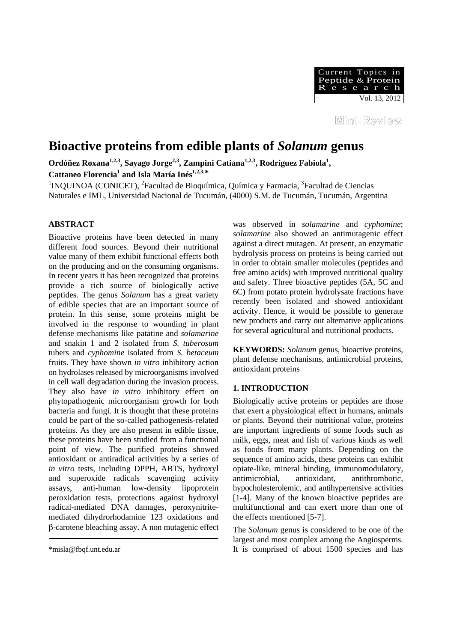

Mini-Review

# **Bioactive proteins from edible plants of** *Solanum* **genus**

Ordóñez Roxana<sup>1,2,3</sup>, Sayago Jorge<sup>2,3</sup>, Zampini Catiana<sup>1,2,3</sup>, Rodríguez Fabiola<sup>1</sup>, Cattaneo Florencia<sup>1</sup> and Isla María Inés<sup>1,2,3,\*</sup>

<sup>1</sup>INQUINOA (CONICET), <sup>2</sup>Facultad de Bioquímica, Química y Farmacia, <sup>3</sup>Facultad de Ciencias Naturales e IML, Universidad Nacional de Tucumán, (4000) S.M. de Tucumán, Tucumán, Argentina

# **ABSTRACT**

Bioactive proteins have been detected in many different food sources. Beyond their nutritional value many of them exhibit functional effects both on the producing and on the consuming organisms. In recent years it has been recognized that proteins provide a rich source of biologically active peptides. The genus *Solanum* has a great variety of edible species that are an important source of protein. In this sense, some proteins might be involved in the response to wounding in plant defense mechanisms like patatine and *solamarine* and snakin 1 and 2 isolated from *S. tuberosum* tubers and *cyphomine* isolated from *S. betaceum* fruits. They have shown *in vitro* inhibitory action on hydrolases released by microorganisms involved in cell wall degradation during the invasion process. They also have *in vitro* inhibitory effect on phytopathogenic microorganism growth for both bacteria and fungi. It is thought that these proteins could be part of the so-called pathogenesis-related proteins. As they are also present in edible tissue, these proteins have been studied from a functional point of view. The purified proteins showed antioxidant or antiradical activities by a series of *in vitro* tests, including DPPH, ABTS, hydroxyl and superoxide radicals scavenging activity assays, anti-human low-density lipoprotein peroxidation tests, protections against hydroxyl radical-mediated DNA damages, peroxynitritemediated dihydrorhodamine 123 oxidations and β-carotene bleaching assay. A non mutagenic effect

was observed in *solamarine* and *cyphomine*; *solamarine* also showed an antimutagenic effect against a direct mutagen. At present, an enzymatic hydrolysis process on proteins is being carried out in order to obtain smaller molecules (peptides and free amino acids) with improved nutritional quality and safety. Three bioactive peptides (5A, 5C and 6C) from potato protein hydrolysate fractions have recently been isolated and showed antioxidant activity. Hence, it would be possible to generate new products and carry out alternative applications for several agricultural and nutritional products.

**KEYWORDS:** *Solanum* genus, bioactive proteins, plant defense mechanisms, antimicrobial proteins, antioxidant proteins

## **1. INTRODUCTION**

Biologically active proteins or peptides are those that exert a physiological effect in humans, animals or plants. Beyond their nutritional value, proteins are important ingredients of some foods such as milk, eggs, meat and fish of various kinds as well as foods from many plants. Depending on the sequence of amino acids, these proteins can exhibit opiate-like, mineral binding, immunomodulatory, antimicrobial, antioxidant, antithrombotic, hypocholesterolemic, and antihypertensive activities [1-4]. Many of the known bioactive peptides are multifunctional and can exert more than one of the effects mentioned [5-7].

The *Solanum* genus is considered to be one of the largest and most complex among the Angiosperms. It is comprised of about 1500 species and has

<sup>\*</sup>misla@fbqf.unt.edu.ar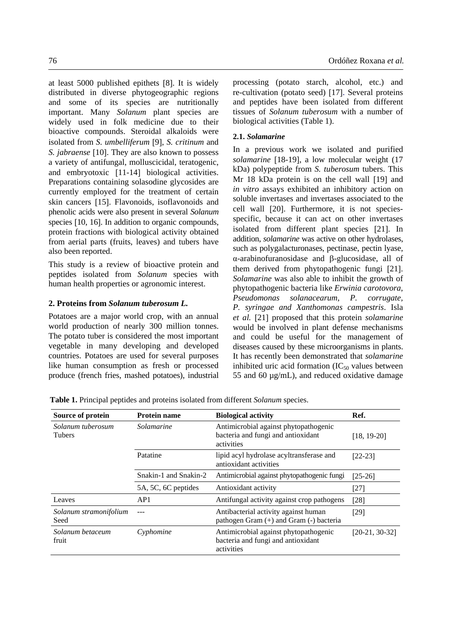at least 5000 published epithets [8]. It is widely distributed in diverse phytogeographic regions and some of its species are nutritionally important. Many *Solanum* plant species are widely used in folk medicine due to their bioactive compounds. Steroidal alkaloids were isolated from *S. umbelliferum* [9], *S. critinum* and *S. jabraense* [10]. They are also known to possess a variety of antifungal, molluscicidal, teratogenic, and embryotoxic [11-14] biological activities. Preparations containing solasodine glycosides are currently employed for the treatment of certain skin cancers [15]. Flavonoids, isoflavonoids and phenolic acids were also present in several *Solanum*  species [10, 16]. In addition to organic compounds, protein fractions with biological activity obtained from aerial parts (fruits, leaves) and tubers have also been reported.

This study is a review of bioactive protein and peptides isolated from *Solanum* species with human health properties or agronomic interest.

# **2. Proteins from** *Solanum tuberosum L.*

Potatoes are a major world crop, with an annual world production of nearly 300 million tonnes. The potato tuber is considered the most important vegetable in many developing and developed countries. Potatoes are used for several purposes like human consumption as fresh or processed produce (french fries, mashed potatoes), industrial processing (potato starch, alcohol, etc.) and re-cultivation (potato seed) [17]. Several proteins and peptides have been isolated from different tissues of *Solanum tuberosum* with a number of biological activities (Table 1).

# **2.1.** *Solamarine*

In a previous work we isolated and purified *solamarine* [18-19], a low molecular weight (17 kDa) polypeptide from *S. tuberosum* tubers. This Mr 18 kDa protein is on the cell wall [19] and *in vitro* assays exhibited an inhibitory action on soluble invertases and invertases associated to the cell wall [20]. Furthermore, it is not speciesspecific, because it can act on other invertases isolated from different plant species [21]. In addition, *solamarine* was active on other hydrolases, such as polygalacturonases, pectinase, pectin lyase, α-arabinofuranosidase and β-glucosidase, all of them derived from phytopathogenic fungi [21]. *Solamarine* was also able to inhibit the growth of phytopathogenic bacteria like *Erwinia carotovora*, *Pseudomonas solanacearum*, *P. corrugate, P. syringae and Xanthomonas campestris*. Isla *et al.* [21] proposed that this protein *solamarine* would be involved in plant defense mechanisms and could be useful for the management of diseases caused by these microorganisms in plants. It has recently been demonstrated that *solamarine*  inhibited uric acid formation  $(IC_{50}$  values between 55 and 60 µg/mL), and reduced oxidative damage

| Source of protein                  | <b>Protein name</b>   | <b>Biological activity</b>                                                                | Ref.             |
|------------------------------------|-----------------------|-------------------------------------------------------------------------------------------|------------------|
| Solanum tuberosum<br><b>Tubers</b> | Solamarine            | Antimicrobial against phytopathogenic<br>bacteria and fungi and antioxidant<br>activities | $[18, 19-20]$    |
|                                    | Patatine              | lipid acyl hydrolase acyltransferase and<br>antioxidant activities                        | $[22-23]$        |
|                                    | Snakin-1 and Snakin-2 | Antimicrobial against phytopathogenic fungi                                               | $[25-26]$        |
|                                    | 5A, 5C, 6C peptides   | Antioxidant activity                                                                      | $[27]$           |
| Leaves                             | AP1                   | Antifungal activity against crop pathogens                                                | [28]             |
| Solanum stramonifolium<br>Seed     |                       | Antibacterial activity against human<br>pathogen Gram $(+)$ and Gram $(-)$ bacteria       | $[29]$           |
| Solanum betaceum<br>fruit          | Cyphomine             | Antimicrobial against phytopathogenic<br>bacteria and fungi and antioxidant<br>activities | $[20-21, 30-32]$ |

**Table 1.** Principal peptides and proteins isolated from different *Solanum* species.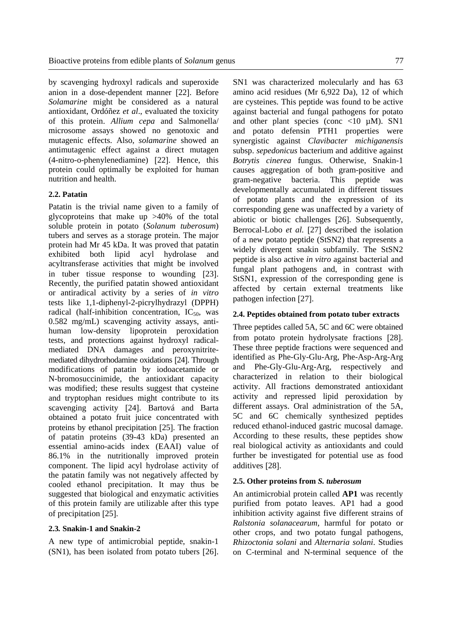by scavenging hydroxyl radicals and superoxide anion in a dose-dependent manner [22]. Before *Solamarine* might be considered as a natural antioxidant, Ordóñez *et al*., evaluated the toxicity of this protein. *Allium cepa* and Salmonella/ microsome assays showed no genotoxic and mutagenic effects. Also, *solamarine* showed an antimutagenic effect against a direct mutagen (4-nitro-o-phenylenediamine) [22]. Hence, this protein could optimally be exploited for human nutrition and health.

#### **2.2. Patatin**

Patatin is the trivial name given to a family of glycoproteins that make up >40% of the total soluble protein in potato (*Solanum tuberosum*) tubers and serves as a storage protein. The major protein had Mr 45 kDa. It was proved that patatin exhibited both lipid acyl hydrolase and acyltransferase activities that might be involved in tuber tissue response to wounding [23]. Recently, the purified patatin showed antioxidant or antiradical activity by a series of *in vitro* tests like 1,1-diphenyl-2-picrylhydrazyl (DPPH) radical (half-inhibition concentration,  $IC_{50}$ , was 0.582 mg/mL) scavenging activity assays, antihuman low-density lipoprotein peroxidation tests, and protections against hydroxyl radicalmediated DNA damages and peroxynitritemediated dihydrorhodamine oxidations [24]. Through modifications of patatin by iodoacetamide or N-bromosuccinimide, the antioxidant capacity was modified; these results suggest that cysteine and tryptophan residues might contribute to its scavenging activity [24]. Bartová and Barta obtained a potato fruit juice concentrated with proteins by ethanol precipitation [25]. The fraction of patatin proteins (39-43 kDa) presented an essential amino-acids index (EAAI) value of 86.1% in the nutritionally improved protein component. The lipid acyl hydrolase activity of the patatin family was not negatively affected by cooled ethanol precipitation. It may thus be suggested that biological and enzymatic activities of this protein family are utilizable after this type of precipitation [25].

### **2.3***.* **Snakin-1 and Snakin-2**

A new type of antimicrobial peptide, snakin-1 (SN1), has been isolated from potato tubers [26]. SN1 was characterized molecularly and has 63 amino acid residues (Mr 6,922 Da), 12 of which are cysteines. This peptide was found to be active against bacterial and fungal pathogens for potato and other plant species (conc  $\lt 10 \mu M$ ). SN1 and potato defensin PTH1 properties were synergistic against *Clavibacter michiganensis* subsp. *sepedonicus* bacterium and additive against *Botrytis cinerea* fungus. Otherwise, Snakin-1 causes aggregation of both gram-positive and gram-negative bacteria. This peptide was developmentally accumulated in different tissues of potato plants and the expression of its corresponding gene was unaffected by a variety of abiotic or biotic challenges [26]. Subsequently, Berrocal-Lobo *et al.* [27] described the isolation of a new potato peptide (StSN2) that represents a widely divergent snakin subfamily. The StSN2 peptide is also active *in vitro* against bacterial and fungal plant pathogens and, in contrast with StSN1, expression of the corresponding gene is affected by certain external treatments like pathogen infection [27].

#### **2.4. Peptides obtained from potato tuber extracts**

Three peptides called 5A, 5C and 6C were obtained from potato protein hydrolysate fractions [28]. These three peptide fractions were sequenced and identified as Phe-Gly-Glu-Arg, Phe-Asp-Arg-Arg and Phe-Gly-Glu-Arg-Arg, respectively and characterized in relation to their biological activity. All fractions demonstrated antioxidant activity and repressed lipid peroxidation by different assays. Oral administration of the 5A, 5C and 6C chemically synthesized peptides reduced ethanol-induced gastric mucosal damage. According to these results, these peptides show real biological activity as antioxidants and could further be investigated for potential use as food additives [28].

#### **2.5. Other proteins from** *S. tuberosum*

An antimicrobial protein called **AP1** was recently purified from potato leaves. AP1 had a good inhibition activity against five different strains of *Ralstonia solanacearum,* harmful for potato or other crops, and two potato fungal pathogens, *Rhizoctonia solani* and *Alternaria solani*. Studies on C-terminal and N-terminal sequence of the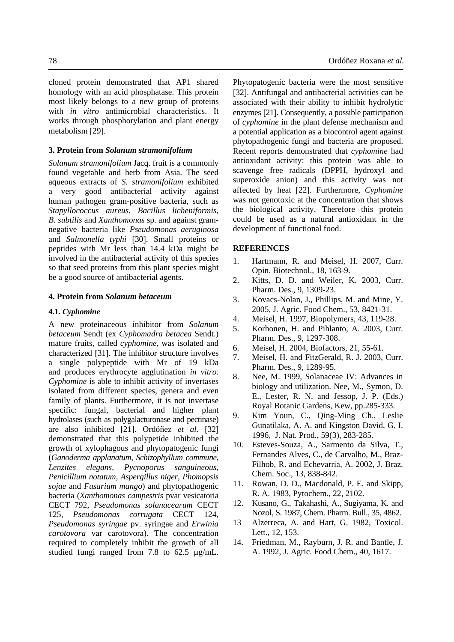cloned protein demonstrated that AP1 shared homology with an acid phosphatase. This protein most likely belongs to a new group of proteins with *in vitro* antimicrobial characteristics. It works through phosphorylation and plant energy metabolism [29].

#### **3. Protein from** *Solanum stramonifolium*

*Solanum stramonifolium* Jacq. fruit is a commonly found vegetable and herb from Asia. The seed aqueous extracts of *S. stramonifolium* exhibited a very good antibacterial activity against human pathogen gram-positive bacteria, such as *Stapyllococcus aureus, Bacillus licheniformis*, *B. subtilis* and *Xanthomonas* sp. and against gramnegative bacteria like *Pseudomonas aeruginosa*  and *Salmonella typhi* [30]. Small proteins or peptides with Mr less than 14.4 kDa might be involved in the antibacterial activity of this species so that seed proteins from this plant species might be a good source of antibacterial agents.

### **4. Protein from** *Solanum betaceum*

#### **4.1.** *Cyphomine*

A new proteinaceous inhibitor from *Solanum betaceum* Sendt (ex *Cyphomadra betacea* Sendt.) mature fruits, called *cyphomine,* was isolated and characterized [31]. The inhibitor structure involves a single polypeptide with Mr of 19 kDa and produces erythrocyte agglutination *in vitro*. *Cyphomine* is able to inhibit activity of invertases isolated from different species, genera and even family of plants. Furthermore, it is not invertase specific: fungal, bacterial and higher plant hydrolases (such as polygalacturonase and pectinase) are also inhibited [21]. Ordóñez *et al.* [32] demonstrated that this polypetide inhibited the growth of xylophagous and phytopatogenic fungi (*Ganoderma applanatum, Schizophyllum commune, Lenzites elegans, Pycnoporus sanguineous, Penicillium notatum, Aspergillus niger, Phomopsis sojae* and *Fusarium mango*) and phytopathogenic bacteria (*Xanthomonas campestris* pvar vesicatoria CECT 792, *Pseudomonas solanacearum* CECT 125, *Pseudomonas corrugata* CECT 124, *Pseudomonas syringae* pv. syringae and *Erwinia carotovora* var carotovora). The concentration required to completely inhibit the growth of all studied fungi ranged from 7.8 to 62.5 µg/mL.

Phytopatogenic bacteria were the most sensitive [32]. Antifungal and antibacterial activities can be associated with their ability to inhibit hydrolytic enzymes [21]. Consequently, a possible participation of *cyphomine* in the plant defense mechanism and a potential application as a biocontrol agent against phytopathogenic fungi and bacteria are proposed. Recent reports demonstrated that *cyphomine* had antioxidant activity: this protein was able to scavenge free radicals (DPPH, hydroxyl and superoxide anion) and this activity was not affected by heat [22]. Furthermore, *Cyphomine* was not genotoxic at the concentration that shows the biological activity. Therefore this protein could be used as a natural antioxidant in the development of functional food.

#### **REFERENCES**

- 1. Hartmann, R. and Meisel, H. 2007, Curr. Opin. Biotechnol., 18, 163-9.
- 2. Kitts, D. D. and Weiler, K. 2003, Curr. Pharm. Des., 9, 1309-23.
- 3. Kovacs-Nolan, J., Phillips, M. and Mine, Y. 2005, J. Agric. Food Chem., 53, 8421-31.
- 4. Meisel, H. 1997, Biopolymers, 43, 119-28.
- 5. Korhonen, H. and Pihlanto, A. 2003, Curr. Pharm. Des., 9, 1297-308.
- 6. Meisel, H. 2004, Biofactors, 21, 55-61.
- 7. Meisel, H. and FitzGerald, R. J. 2003, Curr. Pharm. Des., 9, 1289-95.
- 8. Nee, M. 1999, Solanaceae IV: Advances in biology and utilization. Nee, M., Symon, D. E., Lester, R. N. and Jessop, J. P. (Eds.) Royal Botanic Gardens, Kew, pp.285-333.
- 9. Kim Youn, C., Qing-Ming Ch., Leslie Gunatilaka, A. A. and Kingston David, G. I. 1996, J. Nat. Prod., 59(3), 283-285.
- 10. Esteves-Souza, A., Sarmento da Silva, T., Fernandes Alves, C., de Carvalho, M., Braz-Filhob, R. and Echevarria, A. 2002, J. Braz. Chem. Soc., 13, 838-842.
- 11. Rowan, D. D., Macdonald, P. E. and Skipp, R. A. 1983, Pytochem., 22, 2102.
- 12. Kusano, G., Takahashi, A., Sugiyama, K. and Nozol, S. 1987, Chem. Pharm. Bull., 35, 4862.
- 13 Alzerreca, A. and Hart, G. 1982, Toxicol. Lett., 12, 153.
- 14. Friedman, M., Rayburn, J. R. and Bantle, J. A. 1992, J. Agric. Food Chem., 40, 1617.